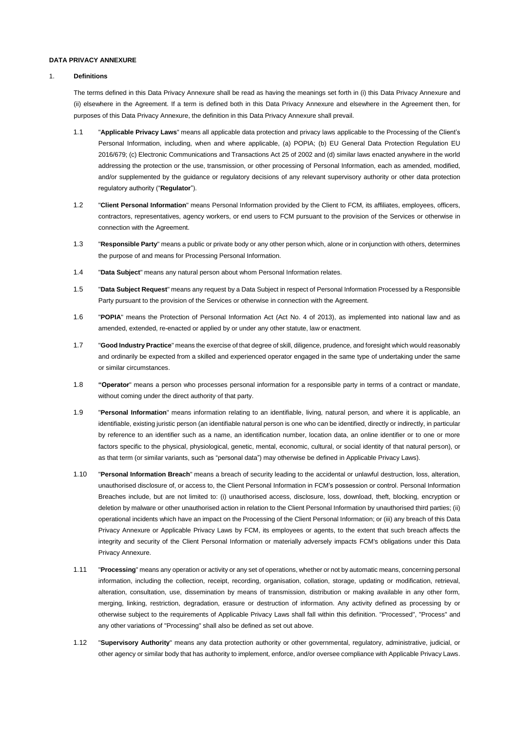## **DATA PRIVACY ANNEXURE**

### 1. **Definitions**

The terms defined in this Data Privacy Annexure shall be read as having the meanings set forth in (i) this Data Privacy Annexure and (ii) elsewhere in the Agreement. If a term is defined both in this Data Privacy Annexure and elsewhere in the Agreement then, for purposes of this Data Privacy Annexure, the definition in this Data Privacy Annexure shall prevail.

- 1.1 "**Applicable Privacy Laws**" means all applicable data protection and privacy laws applicable to the Processing of the Client's Personal Information, including, when and where applicable, (a) POPIA; (b) EU General Data Protection Regulation EU 2016/679; (c) Electronic Communications and Transactions Act 25 of 2002 and (d) similar laws enacted anywhere in the world addressing the protection or the use, transmission, or other processing of Personal Information, each as amended, modified, and/or supplemented by the guidance or regulatory decisions of any relevant supervisory authority or other data protection regulatory authority ("**Regulator**").
- 1.2 "**Client Personal Information**" means Personal Information provided by the Client to FCM, its affiliates, employees, officers, contractors, representatives, agency workers, or end users to FCM pursuant to the provision of the Services or otherwise in connection with the Agreement.
- 1.3 "**Responsible Party**" means a public or private body or any other person which, alone or in conjunction with others, determines the purpose of and means for Processing Personal Information.
- 1.4 "**Data Subject**" means any natural person about whom Personal Information relates.
- 1.5 "**Data Subject Request**" means any request by a Data Subject in respect of Personal Information Processed by a Responsible Party pursuant to the provision of the Services or otherwise in connection with the Agreement.
- 1.6 "**POPIA**" means the Protection of Personal Information Act (Act No. 4 of 2013), as implemented into national law and as amended, extended, re-enacted or applied by or under any other statute, law or enactment.
- 1.7 "**Good Industry Practice**" means the exercise of that degree of skill, diligence, prudence, and foresight which would reasonably and ordinarily be expected from a skilled and experienced operator engaged in the same type of undertaking under the same or similar circumstances.
- 1.8 **"Operator**" means a person who processes personal information for a responsible party in terms of a contract or mandate, without coming under the direct authority of that party.
- 1.9 "**Personal Information**" means information relating to an identifiable, living, natural person, and where it is applicable, an identifiable, existing juristic person (an identifiable natural person is one who can be identified, directly or indirectly, in particular by reference to an identifier such as a name, an identification number, location data, an online identifier or to one or more factors specific to the physical, physiological, genetic, mental, economic, cultural, or social identity of that natural person), or as that term (or similar variants, such as "personal data") may otherwise be defined in Applicable Privacy Laws).
- 1.10 "**Personal Information Breach**" means a breach of security leading to the accidental or unlawful destruction, loss, alteration, unauthorised disclosure of, or access to, the Client Personal Information in FCM's possession or control. Personal Information Breaches include, but are not limited to: (i) unauthorised access, disclosure, loss, download, theft, blocking, encryption or deletion by malware or other unauthorised action in relation to the Client Personal Information by unauthorised third parties; (ii) operational incidents which have an impact on the Processing of the Client Personal Information; or (iii) any breach of this Data Privacy Annexure or Applicable Privacy Laws by FCM, its employees or agents, to the extent that such breach affects the integrity and security of the Client Personal Information or materially adversely impacts FCM's obligations under this Data Privacy Annexure.
- 1.11 "**Processing**" means any operation or activity or any set of operations, whether or not by automatic means, concerning personal information, including the collection, receipt, recording, organisation, collation, storage, updating or modification, retrieval, alteration, consultation, use, dissemination by means of transmission, distribution or making available in any other form, merging, linking, restriction, degradation, erasure or destruction of information. Any activity defined as processing by or otherwise subject to the requirements of Applicable Privacy Laws shall fall within this definition. "Processed", "Process" and any other variations of "Processing" shall also be defined as set out above.
- 1.12 "**Supervisory Authority**" means any data protection authority or other governmental, regulatory, administrative, judicial, or other agency or similar body that has authority to implement, enforce, and/or oversee compliance with Applicable Privacy Laws.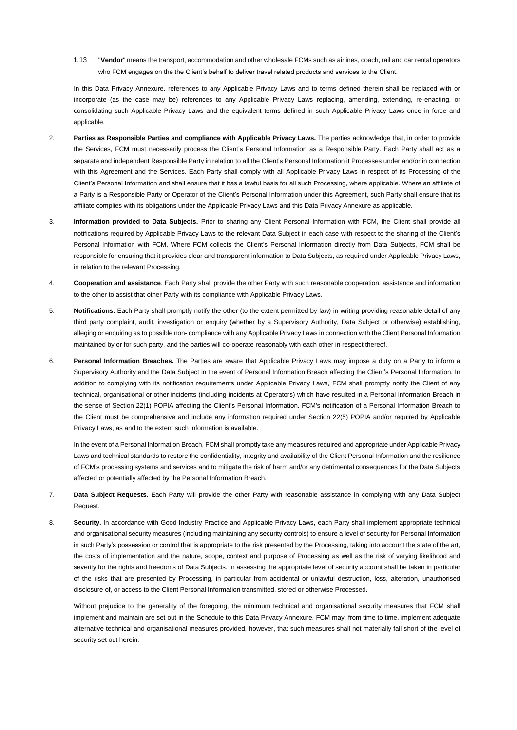1.13 "**Vendor**" means the transport, accommodation and other wholesale FCMs such as airlines, coach, rail and car rental operators who FCM engages on the the Client's behalf to deliver travel related products and services to the Client.

In this Data Privacy Annexure, references to any Applicable Privacy Laws and to terms defined therein shall be replaced with or incorporate (as the case may be) references to any Applicable Privacy Laws replacing, amending, extending, re-enacting, or consolidating such Applicable Privacy Laws and the equivalent terms defined in such Applicable Privacy Laws once in force and applicable.

- 2. **Parties as Responsible Parties and compliance with Applicable Privacy Laws.** The parties acknowledge that, in order to provide the Services, FCM must necessarily process the Client's Personal Information as a Responsible Party. Each Party shall act as a separate and independent Responsible Party in relation to all the Client's Personal Information it Processes under and/or in connection with this Agreement and the Services. Each Party shall comply with all Applicable Privacy Laws in respect of its Processing of the Client's Personal Information and shall ensure that it has a lawful basis for all such Processing, where applicable. Where an affiliate of a Party is a Responsible Party or Operator of the Client's Personal Information under this Agreement, such Party shall ensure that its affiliate complies with its obligations under the Applicable Privacy Laws and this Data Privacy Annexure as applicable.
- 3. **Information provided to Data Subjects.** Prior to sharing any Client Personal Information with FCM, the Client shall provide all notifications required by Applicable Privacy Laws to the relevant Data Subject in each case with respect to the sharing of the Client's Personal Information with FCM. Where FCM collects the Client's Personal Information directly from Data Subjects, FCM shall be responsible for ensuring that it provides clear and transparent information to Data Subjects, as required under Applicable Privacy Laws, in relation to the relevant Processing.
- 4. **Cooperation and assistance**. Each Party shall provide the other Party with such reasonable cooperation, assistance and information to the other to assist that other Party with its compliance with Applicable Privacy Laws.
- 5. **Notifications.** Each Party shall promptly notify the other (to the extent permitted by law) in writing providing reasonable detail of any third party complaint, audit, investigation or enquiry (whether by a Supervisory Authority, Data Subject or otherwise) establishing, alleging or enquiring as to possible non- compliance with any Applicable Privacy Laws in connection with the Client Personal Information maintained by or for such party, and the parties will co-operate reasonably with each other in respect thereof.
- 6. **Personal Information Breaches.** The Parties are aware that Applicable Privacy Laws may impose a duty on a Party to inform a Supervisory Authority and the Data Subject in the event of Personal Information Breach affecting the Client's Personal Information. In addition to complying with its notification requirements under Applicable Privacy Laws, FCM shall promptly notify the Client of any technical, organisational or other incidents (including incidents at Operators) which have resulted in a Personal Information Breach in the sense of Section 22(1) POPIA affecting the Client's Personal Information. FCM's notification of a Personal Information Breach to the Client must be comprehensive and include any information required under Section 22(5) POPIA and/or required by Applicable Privacy Laws, as and to the extent such information is available.

In the event of a Personal Information Breach, FCM shall promptly take any measures required and appropriate under Applicable Privacy Laws and technical standards to restore the confidentiality, integrity and availability of the Client Personal Information and the resilience of FCM's processing systems and services and to mitigate the risk of harm and/or any detrimental consequences for the Data Subjects affected or potentially affected by the Personal Information Breach.

- 7. **Data Subject Requests.** Each Party will provide the other Party with reasonable assistance in complying with any Data Subject Request.
- 8. **Security.** In accordance with Good Industry Practice and Applicable Privacy Laws, each Party shall implement appropriate technical and organisational security measures (including maintaining any security controls) to ensure a level of security for Personal Information in such Party's possession or control that is appropriate to the risk presented by the Processing, taking into account the state of the art, the costs of implementation and the nature, scope, context and purpose of Processing as well as the risk of varying likelihood and severity for the rights and freedoms of Data Subjects. In assessing the appropriate level of security account shall be taken in particular of the risks that are presented by Processing, in particular from accidental or unlawful destruction, loss, alteration, unauthorised disclosure of, or access to the Client Personal Information transmitted, stored or otherwise Processed.

Without prejudice to the generality of the foregoing, the minimum technical and organisational security measures that FCM shall implement and maintain are set out in the Schedule to this Data Privacy Annexure. FCM may, from time to time, implement adequate alternative technical and organisational measures provided, however, that such measures shall not materially fall short of the level of security set out herein.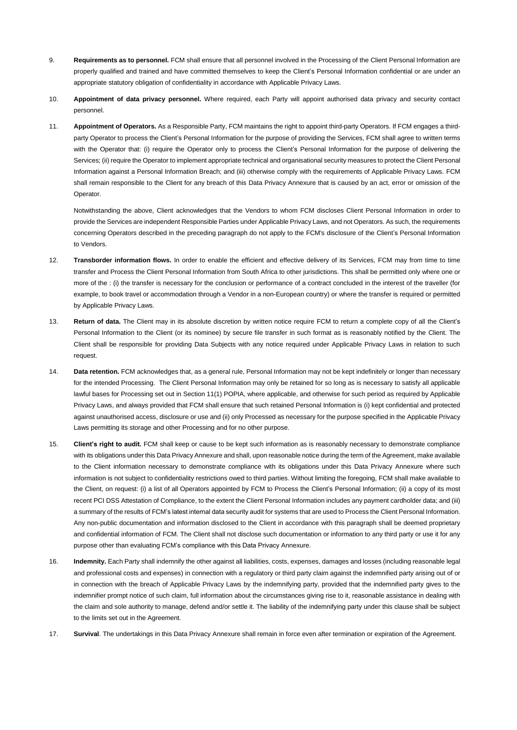- 9. **Requirements as to personnel.** FCM shall ensure that all personnel involved in the Processing of the Client Personal Information are properly qualified and trained and have committed themselves to keep the Client's Personal Information confidential or are under an appropriate statutory obligation of confidentiality in accordance with Applicable Privacy Laws.
- 10. **Appointment of data privacy personnel.** Where required, each Party will appoint authorised data privacy and security contact personnel.
- 11. **Appointment of Operators.** As a Responsible Party, FCM maintains the right to appoint third-party Operators. If FCM engages a thirdparty Operator to process the Client's Personal Information for the purpose of providing the Services, FCM shall agree to written terms with the Operator that: (i) require the Operator only to process the Client's Personal Information for the purpose of delivering the Services; (ii) require the Operator to implement appropriate technical and organisational security measures to protect the Client Personal Information against a Personal Information Breach; and (iii) otherwise comply with the requirements of Applicable Privacy Laws. FCM shall remain responsible to the Client for any breach of this Data Privacy Annexure that is caused by an act, error or omission of the Operator.

Notwithstanding the above, Client acknowledges that the Vendors to whom FCM discloses Client Personal Information in order to provide the Services are independent Responsible Parties under Applicable Privacy Laws, and not Operators. As such, the requirements concerning Operators described in the preceding paragraph do not apply to the FCM's disclosure of the Client's Personal Information to Vendors.

- 12. **Transborder information flows.** In order to enable the efficient and effective delivery of its Services, FCM may from time to time transfer and Process the Client Personal Information from South Africa to other jurisdictions. This shall be permitted only where one or more of the : (i) the transfer is necessary for the conclusion or performance of a contract concluded in the interest of the traveller (for example, to book travel or accommodation through a Vendor in a non-European country) or where the transfer is required or permitted by Applicable Privacy Laws.
- 13. **Return of data.** The Client may in its absolute discretion by written notice require FCM to return a complete copy of all the Client's Personal Information to the Client (or its nominee) by secure file transfer in such format as is reasonably notified by the Client. The Client shall be responsible for providing Data Subjects with any notice required under Applicable Privacy Laws in relation to such request.
- 14. **Data retention.** FCM acknowledges that, as a general rule, Personal Information may not be kept indefinitely or longer than necessary for the intended Processing. The Client Personal Information may only be retained for so long as is necessary to satisfy all applicable lawful bases for Processing set out in Section 11(1) POPIA, where applicable, and otherwise for such period as required by Applicable Privacy Laws, and always provided that FCM shall ensure that such retained Personal Information is (i) kept confidential and protected against unauthorised access, disclosure or use and (ii) only Processed as necessary for the purpose specified in the Applicable Privacy Laws permitting its storage and other Processing and for no other purpose.
- 15. **Client's right to audit.** FCM shall keep or cause to be kept such information as is reasonably necessary to demonstrate compliance with its obligations under this Data Privacy Annexure and shall, upon reasonable notice during the term of the Agreement, make available to the Client information necessary to demonstrate compliance with its obligations under this Data Privacy Annexure where such information is not subject to confidentiality restrictions owed to third parties. Without limiting the foregoing, FCM shall make available to the Client, on request: (i) a list of all Operators appointed by FCM to Process the Client's Personal Information; (ii) a copy of its most recent PCI DSS Attestation of Compliance, to the extent the Client Personal Information includes any payment cardholder data; and (iii) a summary of the results of FCM's latest internal data security audit for systems that are used to Process the Client Personal Information. Any non-public documentation and information disclosed to the Client in accordance with this paragraph shall be deemed proprietary and confidential information of FCM. The Client shall not disclose such documentation or information to any third party or use it for any purpose other than evaluating FCM's compliance with this Data Privacy Annexure.
- 16. **Indemnity.** Each Party shall indemnify the other against all liabilities, costs, expenses, damages and losses (including reasonable legal and professional costs and expenses) in connection with a regulatory or third party claim against the indemnified party arising out of or in connection with the breach of Applicable Privacy Laws by the indemnifying party, provided that the indemnified party gives to the indemnifier prompt notice of such claim, full information about the circumstances giving rise to it, reasonable assistance in dealing with the claim and sole authority to manage, defend and/or settle it. The liability of the indemnifying party under this clause shall be subject to the limits set out in the Agreement.
- 17. **Survival**. The undertakings in this Data Privacy Annexure shall remain in force even after termination or expiration of the Agreement.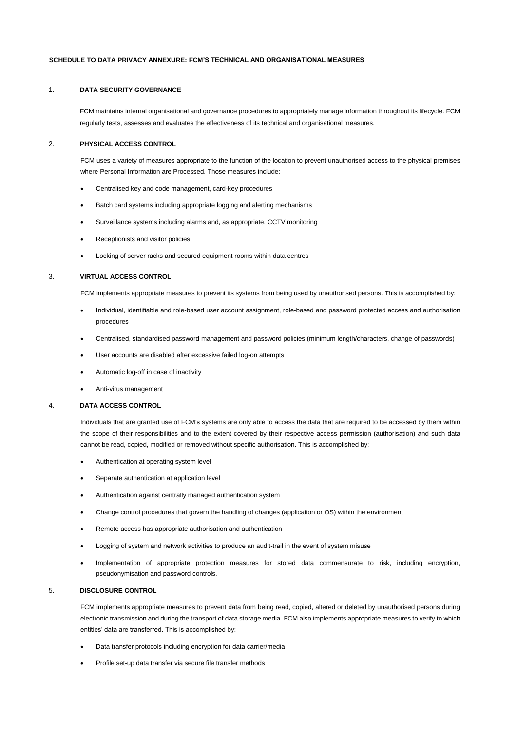#### **SCHEDULE TO DATA PRIVACY ANNEXURE: FCM'S TECHNICAL AND ORGANISATIONAL MEASURES**

## 1. **DATA SECURITY GOVERNANCE**

FCM maintains internal organisational and governance procedures to appropriately manage information throughout its lifecycle. FCM regularly tests, assesses and evaluates the effectiveness of its technical and organisational measures.

### 2. **PHYSICAL ACCESS CONTROL**

FCM uses a variety of measures appropriate to the function of the location to prevent unauthorised access to the physical premises where Personal Information are Processed. Those measures include:

- Centralised key and code management, card-key procedures
- Batch card systems including appropriate logging and alerting mechanisms
- Surveillance systems including alarms and, as appropriate, CCTV monitoring
- Receptionists and visitor policies
- Locking of server racks and secured equipment rooms within data centres

#### 3. **VIRTUAL ACCESS CONTROL**

FCM implements appropriate measures to prevent its systems from being used by unauthorised persons. This is accomplished by:

- Individual, identifiable and role-based user account assignment, role-based and password protected access and authorisation procedures
- Centralised, standardised password management and password policies (minimum length/characters, change of passwords)
- User accounts are disabled after excessive failed log-on attempts
- Automatic log-off in case of inactivity
- Anti-virus management

#### 4. **DATA ACCESS CONTROL**

Individuals that are granted use of FCM's systems are only able to access the data that are required to be accessed by them within the scope of their responsibilities and to the extent covered by their respective access permission (authorisation) and such data cannot be read, copied, modified or removed without specific authorisation. This is accomplished by:

- Authentication at operating system level
- Separate authentication at application level
- Authentication against centrally managed authentication system
- Change control procedures that govern the handling of changes (application or OS) within the environment
- Remote access has appropriate authorisation and authentication
- Logging of system and network activities to produce an audit-trail in the event of system misuse
- Implementation of appropriate protection measures for stored data commensurate to risk, including encryption, pseudonymisation and password controls.

#### 5. **DISCLOSURE CONTROL**

FCM implements appropriate measures to prevent data from being read, copied, altered or deleted by unauthorised persons during electronic transmission and during the transport of data storage media. FCM also implements appropriate measures to verify to which entities' data are transferred. This is accomplished by:

- Data transfer protocols including encryption for data carrier/media
- Profile set-up data transfer via secure file transfer methods